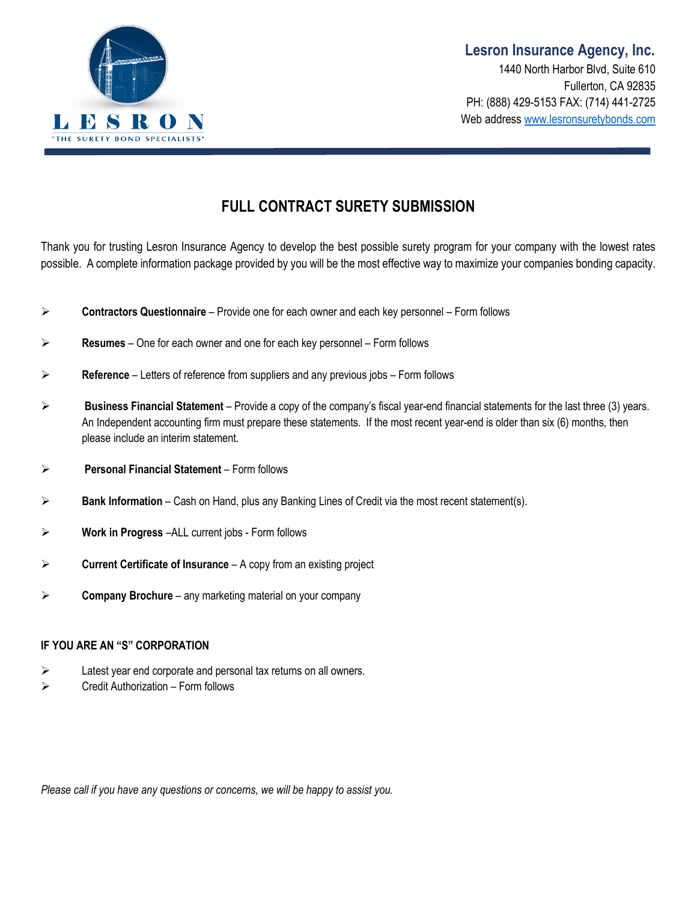

### **FULL CONTRACT SURETY SUBMISSION**

Thank you for trusting Lesron Insurance Agency to develop the best possible surety program for your company with the lowest rates possible. A complete information package provided by you will be the most effective way to maximize your companies bonding capacity.

- **Contractors Questionnaire** Provide one for each owner and each key personnel Form follows
- **Resumes**  One for each owner and one for each key personnel Form follows
- **Reference** Letters of reference from suppliers and any previous jobs Form follows
- **Business Financial Statement** Provide a copy of the company's fiscal year-end financial statements for the last three (3) years. An Independent accounting firm must prepare these statements. If the most recent year-end is older than six (6) months, then please include an interim statement.
- **Personal Financial Statement** Form follows
- **Bank Information** Cash on Hand, plus any Banking Lines of Credit via the most recent statement(s).
- **Work in Progress** –ALL current jobs Form follows
- **Current Certificate of Insurance**  A copy from an existing project
- **Company Brochure**  any marketing material on your company

#### **IF YOU ARE AN "S" CORPORATION**

- $\triangleright$  Latest year end corporate and personal tax returns on all owners.
- $\triangleright$  Credit Authorization Form follows

*Please call if you have any questions or concerns, we will be happy to assist you.*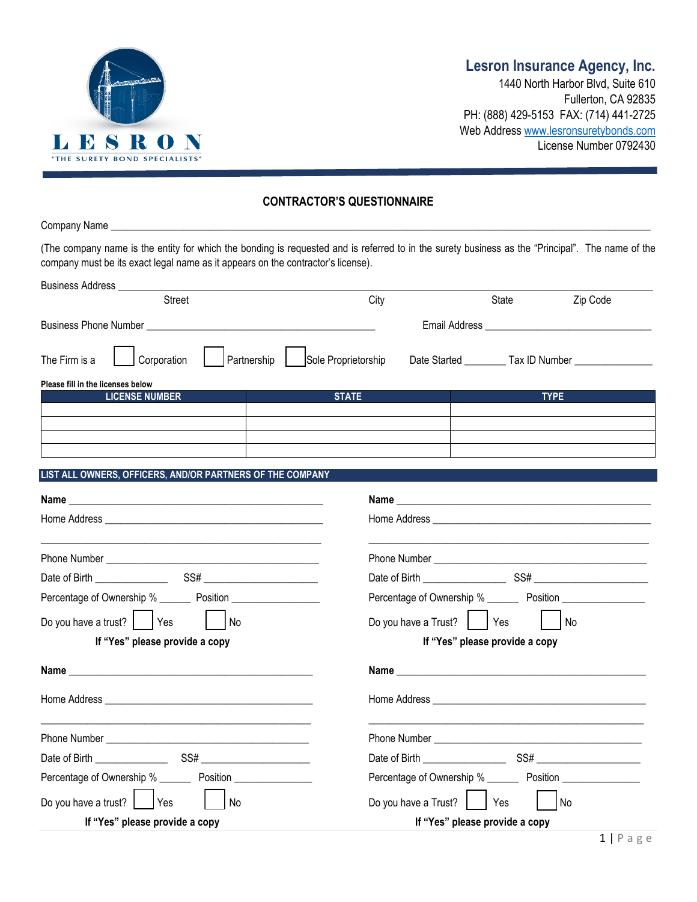

### **Lesron Insurance Agency, Inc.**

1440 North Harbor Blvd, Suite 610 Fullerton, CA 92835 PH: (888) 429-5153 FAX: (714) 441-2725 Web Addres[s www.lesronsuretybonds.com](http://www.lesronsuretybonds.com/) License Number 0792430

#### **CONTRACTOR'S QUESTIONNAIRE**

| company must be its exact legal name as it appears on the contractor's license). | (The company name is the entity for which the bonding is requested and is referred to in the surety business as the "Principal". The name of the                                                                                                                  |
|----------------------------------------------------------------------------------|-------------------------------------------------------------------------------------------------------------------------------------------------------------------------------------------------------------------------------------------------------------------|
|                                                                                  |                                                                                                                                                                                                                                                                   |
| <b>Street</b>                                                                    | City<br>State<br>Zip Code                                                                                                                                                                                                                                         |
|                                                                                  |                                                                                                                                                                                                                                                                   |
| The Firm is a                                                                    | Corporation     Partnership     Sole Proprietorship Date Started _______ Tax ID Number ____________                                                                                                                                                               |
| Please fill in the licenses below                                                |                                                                                                                                                                                                                                                                   |
| <b>LICENSE NUMBER</b>                                                            | <b>STATE</b><br><b>TYPE</b>                                                                                                                                                                                                                                       |
|                                                                                  |                                                                                                                                                                                                                                                                   |
|                                                                                  |                                                                                                                                                                                                                                                                   |
|                                                                                  |                                                                                                                                                                                                                                                                   |
| LIST ALL OWNERS, OFFICERS, AND/OR PARTNERS OF THE COMPANY                        |                                                                                                                                                                                                                                                                   |
|                                                                                  |                                                                                                                                                                                                                                                                   |
|                                                                                  |                                                                                                                                                                                                                                                                   |
|                                                                                  |                                                                                                                                                                                                                                                                   |
|                                                                                  |                                                                                                                                                                                                                                                                   |
|                                                                                  |                                                                                                                                                                                                                                                                   |
| Percentage of Ownership % __________ Position __________________________________ | Percentage of Ownership % _________ Position ___________________________________                                                                                                                                                                                  |
| Do you have a trust? $ $ $ $ Yes<br><b>No</b>                                    | Do you have a Trust?     Yes<br>No                                                                                                                                                                                                                                |
| If "Yes" please provide a copy                                                   | If "Yes" please provide a copy                                                                                                                                                                                                                                    |
|                                                                                  |                                                                                                                                                                                                                                                                   |
|                                                                                  |                                                                                                                                                                                                                                                                   |
|                                                                                  | Phone Number <b>Executive Structure 1999</b>                                                                                                                                                                                                                      |
|                                                                                  | SS# Financial SSS and the state of the state of the state of the state of the state of the state of the state of the state of the state of the state of the state of the state of the state of the state of the state of the s<br>Date of Birth _________________ |
| Percentage of Ownership % _________ Position _______________                     | Percentage of Ownership % ______<br>Position _______________                                                                                                                                                                                                      |
| Do you have a trust?<br>Yes<br>No                                                | Do you have a Trust?<br>Yes<br>No                                                                                                                                                                                                                                 |
| If "Yes" please provide a copy                                                   | If "Yes" please provide a copy                                                                                                                                                                                                                                    |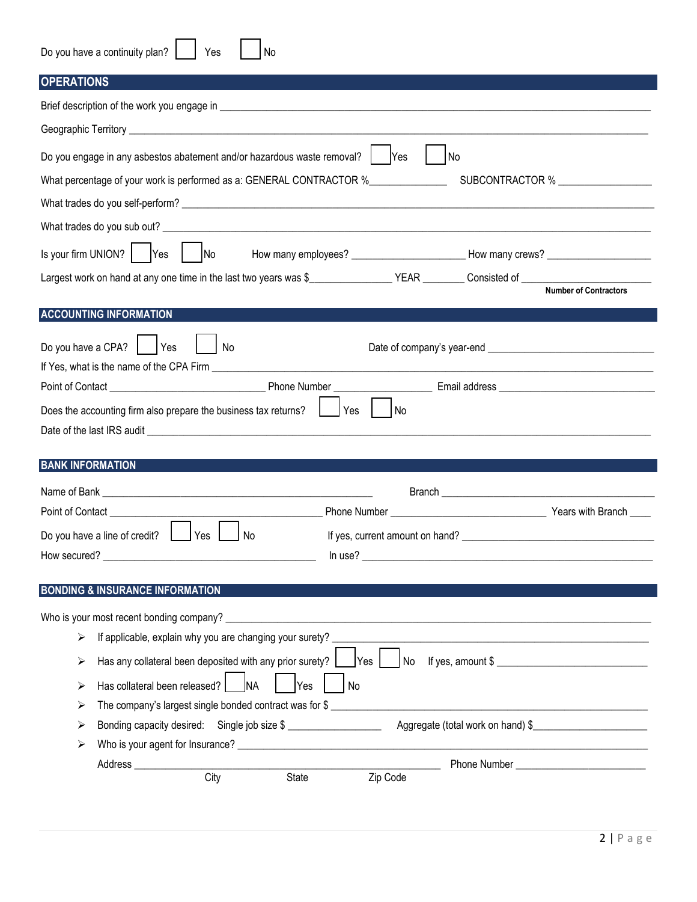| Do you have a continuity plan? | Yes | No |
|--------------------------------|-----|----|
|                                |     |    |

|  |  |  | <b>OPERATIONS</b> |  |  |
|--|--|--|-------------------|--|--|
|--|--|--|-------------------|--|--|

| <b>OPERATIONS</b>                                                             |                                                                                                      |                                    |
|-------------------------------------------------------------------------------|------------------------------------------------------------------------------------------------------|------------------------------------|
|                                                                               |                                                                                                      |                                    |
|                                                                               |                                                                                                      |                                    |
| Do you engage in any asbestos abatement and/or hazardous waste removal?   Yes | No                                                                                                   |                                    |
| What percentage of your work is performed as a: GENERAL CONTRACTOR %          |                                                                                                      | SUBCONTRACTOR % __________________ |
|                                                                               |                                                                                                      |                                    |
|                                                                               |                                                                                                      |                                    |
| Is your firm UNION? $ $ Yes<br>No                                             | How many employees? _______________________________How many crews? _________________________________ |                                    |
|                                                                               |                                                                                                      |                                    |
|                                                                               |                                                                                                      |                                    |
| <b>ACCOUNTING INFORMATION</b>                                                 |                                                                                                      |                                    |
| Do you have a CPA? $\vert$ Yes<br>No                                          |                                                                                                      |                                    |
|                                                                               |                                                                                                      |                                    |
| Does the accounting firm also prepare the business tax returns? [13] Yes   No |                                                                                                      |                                    |
|                                                                               |                                                                                                      |                                    |
| <b>BANK INFORMATION</b>                                                       |                                                                                                      |                                    |
|                                                                               |                                                                                                      |                                    |
|                                                                               |                                                                                                      |                                    |
|                                                                               |                                                                                                      |                                    |
| Do you have a line of credit? [ Yes [ No                                      |                                                                                                      |                                    |
|                                                                               |                                                                                                      |                                    |
| <b>BONDING &amp; INSURANCE INFORMATION</b>                                    |                                                                                                      |                                    |
| Who is your most recent bonding company?                                      |                                                                                                      |                                    |
| If applicable, explain why you are changing your surety?<br>➤                 |                                                                                                      |                                    |
| Has any collateral been deposited with any prior surety? [<br>➤               | Yes<br>No<br>If yes, amount $\frac{1}{2}$                                                            |                                    |
| Has collateral been released?<br><b>NA</b><br>➤                               | <b>Yes</b><br><b>No</b>                                                                              |                                    |
| ➤                                                                             | The company's largest single bonded contract was for $\$$                                            |                                    |
| ➤                                                                             |                                                                                                      |                                    |
| ➤                                                                             |                                                                                                      |                                    |
| Address _____________<br>City<br>State                                        | Zip Code                                                                                             |                                    |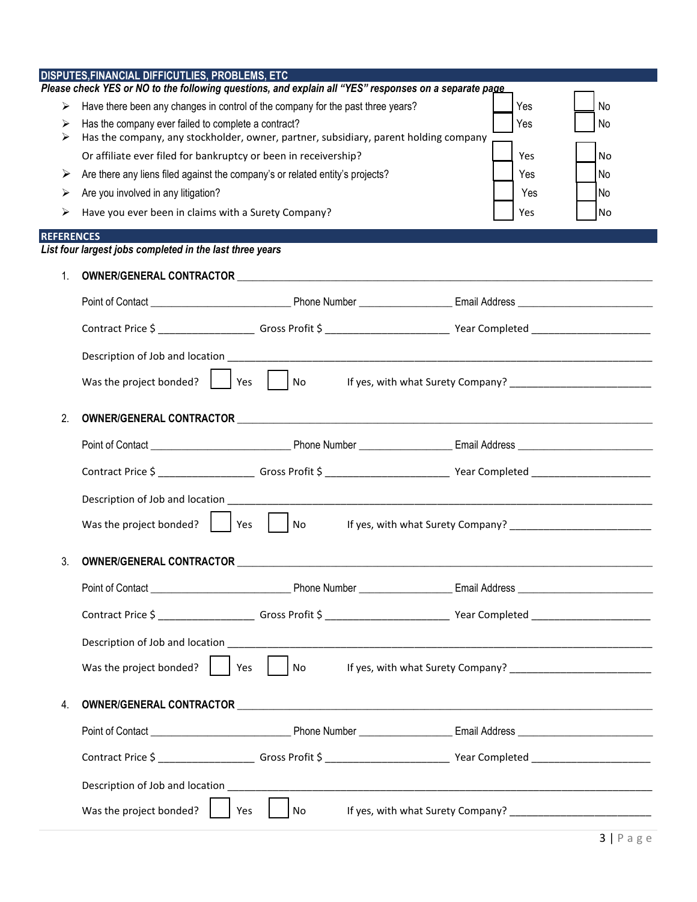|                   | DISPUTES, FINANCIAL DIFFICUTLIES, PROBLEMS, ETC                                            | Please check YES or NO to the following questions, and explain all "YES" responses on a separate page |                                   |  |  |  |
|-------------------|--------------------------------------------------------------------------------------------|-------------------------------------------------------------------------------------------------------|-----------------------------------|--|--|--|
| ⋗                 | Have there been any changes in control of the company for the past three years?            |                                                                                                       | Yes<br>No                         |  |  |  |
| ⋗                 | Has the company ever failed to complete a contract?<br>Yes<br>No                           |                                                                                                       |                                   |  |  |  |
| ⋗                 |                                                                                            | Has the company, any stockholder, owner, partner, subsidiary, parent holding company                  |                                   |  |  |  |
|                   | Or affiliate ever filed for bankruptcy or been in receivership?<br>Yes<br><b>No</b>        |                                                                                                       |                                   |  |  |  |
| ➤                 | Are there any liens filed against the company's or related entity's projects?<br>Yes<br>No |                                                                                                       |                                   |  |  |  |
| ➤                 | Are you involved in any litigation?<br>Yes<br>l No                                         |                                                                                                       |                                   |  |  |  |
| ⋗                 | Have you ever been in claims with a Surety Company?                                        |                                                                                                       | Yes<br>No                         |  |  |  |
| <b>REFERENCES</b> | List four largest jobs completed in the last three years                                   |                                                                                                       |                                   |  |  |  |
|                   |                                                                                            |                                                                                                       |                                   |  |  |  |
| $1_{\cdot}$       |                                                                                            |                                                                                                       |                                   |  |  |  |
|                   |                                                                                            |                                                                                                       |                                   |  |  |  |
|                   |                                                                                            |                                                                                                       |                                   |  |  |  |
|                   |                                                                                            |                                                                                                       |                                   |  |  |  |
|                   | Was the project bonded?                                                                    | $\vert$ Yes $\vert$ $\vert$ No                                                                        | If yes, with what Surety Company? |  |  |  |
|                   |                                                                                            |                                                                                                       |                                   |  |  |  |
| 2.                |                                                                                            |                                                                                                       |                                   |  |  |  |
|                   |                                                                                            |                                                                                                       |                                   |  |  |  |
|                   |                                                                                            |                                                                                                       |                                   |  |  |  |
|                   |                                                                                            |                                                                                                       |                                   |  |  |  |
|                   | Was the project bonded? $ $   Yes     No                                                   |                                                                                                       |                                   |  |  |  |
|                   |                                                                                            |                                                                                                       |                                   |  |  |  |
| 3.                |                                                                                            |                                                                                                       |                                   |  |  |  |
|                   |                                                                                            |                                                                                                       |                                   |  |  |  |
|                   |                                                                                            |                                                                                                       |                                   |  |  |  |
|                   |                                                                                            |                                                                                                       |                                   |  |  |  |
|                   | Was the project bonded? $\vert$<br>Yes                                                     | No                                                                                                    |                                   |  |  |  |
|                   |                                                                                            |                                                                                                       |                                   |  |  |  |
| 4.                |                                                                                            |                                                                                                       |                                   |  |  |  |
|                   |                                                                                            |                                                                                                       |                                   |  |  |  |
|                   |                                                                                            |                                                                                                       |                                   |  |  |  |
|                   |                                                                                            |                                                                                                       |                                   |  |  |  |
|                   | Was the project bonded?<br>Yes                                                             | No                                                                                                    |                                   |  |  |  |
|                   |                                                                                            |                                                                                                       |                                   |  |  |  |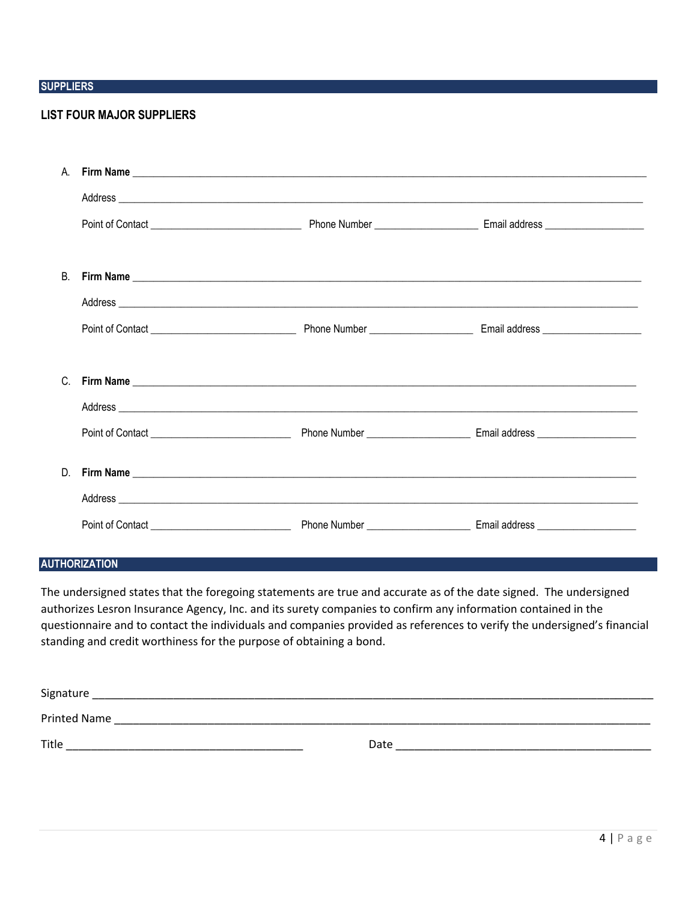#### **SUPPLIERS**

#### **LIST FOUR MAJOR SUPPLIERS**

| <b>B.</b> |  |  |
|-----------|--|--|
|           |  |  |
|           |  |  |
|           |  |  |
|           |  |  |
|           |  |  |
|           |  |  |
|           |  |  |
|           |  |  |
|           |  |  |

#### **AUTHORIZATION**

The undersigned states that the foregoing statements are true and accurate as of the date signed. The undersigned authorizes Lesron Insurance Agency, Inc. and its surety companies to confirm any information contained in the questionnaire and to contact the individuals and companies provided as references to verify the undersigned's financial standing and credit worthiness for the purpose of obtaining a bond.

| Signature           |      |
|---------------------|------|
| <b>Printed Name</b> |      |
| Title               | Date |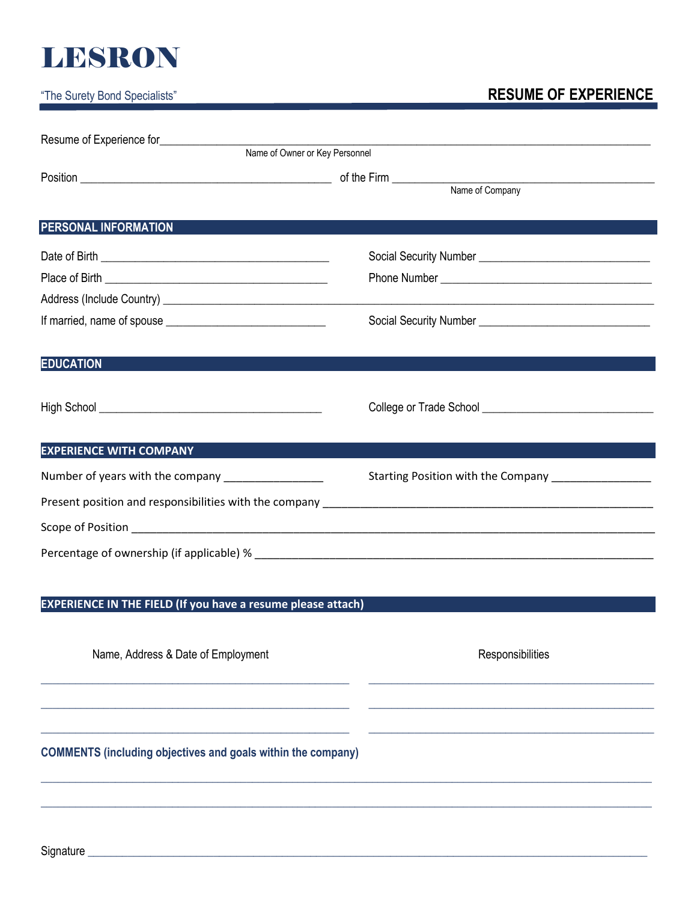# **LESRON**

### "The Surety Bond Specialists" **RESUME OF EXPERIENCE**

| Resume of Experience for                                            |                                                        |
|---------------------------------------------------------------------|--------------------------------------------------------|
| Name of Owner or Key Personnel                                      |                                                        |
|                                                                     |                                                        |
| <b>PERSONAL INFORMATION</b>                                         |                                                        |
|                                                                     |                                                        |
|                                                                     |                                                        |
|                                                                     |                                                        |
|                                                                     |                                                        |
| <b>EDUCATION</b>                                                    |                                                        |
|                                                                     |                                                        |
| <b>EXPERIENCE WITH COMPANY</b>                                      |                                                        |
| Number of years with the company ______________                     | Starting Position with the Company ___________________ |
|                                                                     |                                                        |
|                                                                     |                                                        |
|                                                                     |                                                        |
|                                                                     |                                                        |
| <b>EXPERIENCE IN THE FIELD (If you have a resume please attach)</b> |                                                        |
|                                                                     |                                                        |

**\_\_\_\_\_\_\_\_\_\_\_\_\_\_\_\_\_\_\_\_\_\_\_\_\_\_\_\_\_\_\_\_\_\_\_\_\_\_\_\_\_\_\_\_\_\_\_\_\_\_\_\_\_\_ \_\_\_\_\_\_\_\_\_\_\_\_\_\_\_\_\_\_\_\_\_\_\_\_\_\_\_\_\_\_\_\_\_\_\_\_\_\_\_\_\_\_\_\_\_\_\_\_\_\_**

**\_\_\_\_\_\_\_\_\_\_\_\_\_\_\_\_\_\_\_\_\_\_\_\_\_\_\_\_\_\_\_\_\_\_\_\_\_\_\_\_\_\_\_\_\_\_\_\_\_\_\_\_\_\_ \_\_\_\_\_\_\_\_\_\_\_\_\_\_\_\_\_\_\_\_\_\_\_\_\_\_\_\_\_\_\_\_\_\_\_\_\_\_\_\_\_\_\_\_\_\_\_\_\_\_**

**\_\_\_\_\_\_\_\_\_\_\_\_\_\_\_\_\_\_\_\_\_\_\_\_\_\_\_\_\_\_\_\_\_\_\_\_\_\_\_\_\_\_\_\_\_\_\_\_\_\_\_\_\_\_ \_\_\_\_\_\_\_\_\_\_\_\_\_\_\_\_\_\_\_\_\_\_\_\_\_\_\_\_\_\_\_\_\_\_\_\_\_\_\_\_\_\_\_\_\_\_\_\_\_\_**

**\_\_\_\_\_\_\_\_\_\_\_\_\_\_\_\_\_\_\_\_\_\_\_\_\_\_\_\_\_\_\_\_\_\_\_\_\_\_\_\_\_\_\_\_\_\_\_\_\_\_\_\_\_\_\_\_\_\_\_\_\_\_\_\_\_\_\_\_\_\_\_\_\_\_\_\_\_\_\_\_\_\_\_\_\_\_\_\_\_\_\_\_\_\_\_\_\_\_\_\_\_\_\_\_\_\_\_**

**\_\_\_\_\_\_\_\_\_\_\_\_\_\_\_\_\_\_\_\_\_\_\_\_\_\_\_\_\_\_\_\_\_\_\_\_\_\_\_\_\_\_\_\_\_\_\_\_\_\_\_\_\_\_\_\_\_\_\_\_\_\_\_\_\_\_\_\_\_\_\_\_\_\_\_\_\_\_\_\_\_\_\_\_\_\_\_\_\_\_\_\_\_\_\_\_\_\_\_\_\_\_\_\_\_\_\_**

Name, Address & Date of Employment Name and Session Responsibilities

**COMMENTS (including objectives and goals within the company)**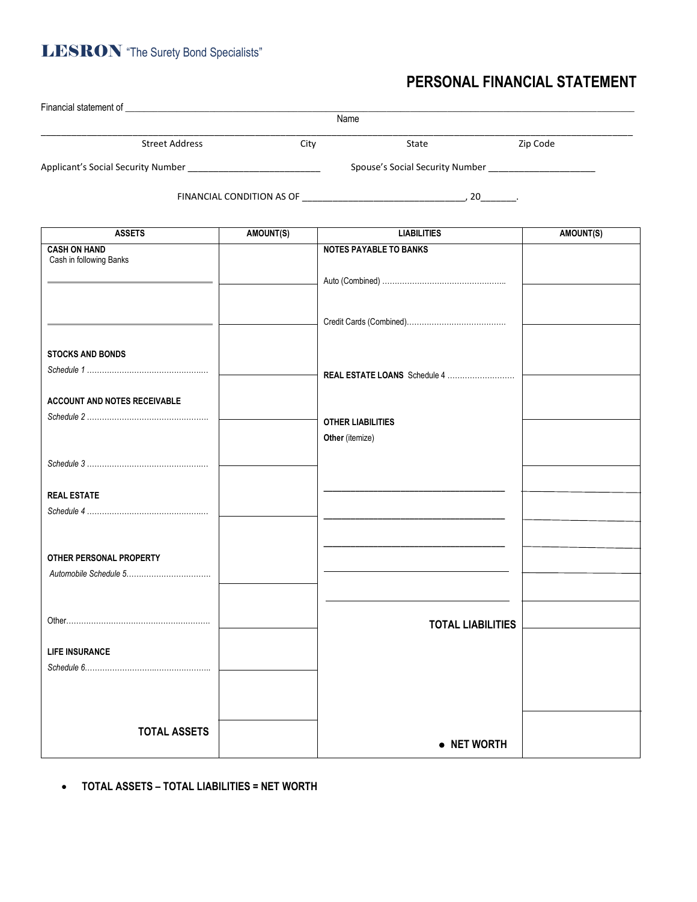### **LESRON** "The Surety Bond Specialists"

### **PERSONAL FINANCIAL STATEMENT**

|                                                |                  | Name                          |           |
|------------------------------------------------|------------------|-------------------------------|-----------|
| <b>Street Address</b>                          | City             | State                         | Zip Code  |
|                                                |                  |                               |           |
|                                                |                  |                               |           |
|                                                |                  |                               |           |
|                                                |                  |                               |           |
| <b>ASSETS</b>                                  | <b>AMOUNT(S)</b> | <b>LIABILITIES</b>            | AMOUNT(S) |
| <b>CASH ON HAND</b><br>Cash in following Banks |                  | <b>NOTES PAYABLE TO BANKS</b> |           |
|                                                |                  |                               |           |
|                                                |                  |                               |           |
|                                                |                  |                               |           |
|                                                |                  |                               |           |
| <b>STOCKS AND BONDS</b>                        |                  |                               |           |
|                                                |                  | REAL ESTATE LOANS Schedule 4  |           |
|                                                |                  |                               |           |
| <b>ACCOUNT AND NOTES RECEIVABLE</b>            |                  |                               |           |
|                                                |                  | <b>OTHER LIABILITIES</b>      |           |
|                                                |                  | Other (itemize)               |           |
|                                                |                  |                               |           |
|                                                |                  |                               |           |
| <b>REAL ESTATE</b>                             |                  |                               |           |
|                                                |                  |                               |           |
|                                                |                  |                               |           |
| OTHER PERSONAL PROPERTY                        |                  |                               |           |
|                                                |                  |                               |           |
|                                                |                  |                               |           |
|                                                |                  | <b>TOTAL LIABILITIES</b>      |           |
|                                                |                  |                               |           |
| <b>LIFE INSURANCE</b>                          |                  |                               |           |
|                                                |                  |                               |           |
|                                                |                  |                               |           |
|                                                |                  |                               |           |
| <b>TOTAL ASSETS</b>                            |                  |                               |           |
|                                                |                  | • NET WORTH                   |           |

• **TOTAL ASSETS – TOTAL LIABILITIES = NET WORTH**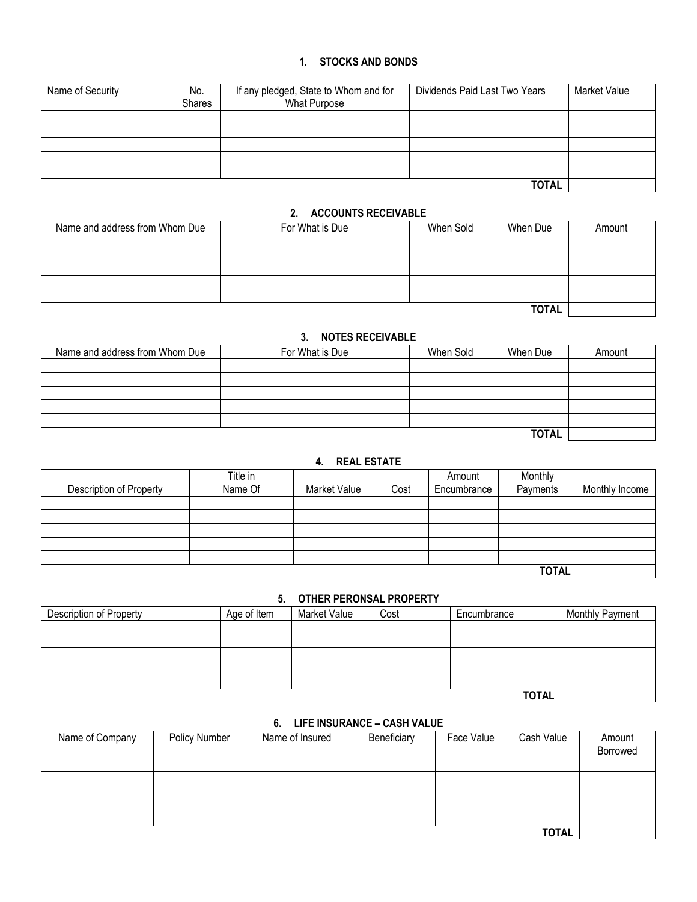#### **1. STOCKS AND BONDS**

| Name of Security | No.<br><b>Shares</b> | If any pledged, State to Whom and for<br><b>What Purpose</b> | Dividends Paid Last Two Years | Market Value |
|------------------|----------------------|--------------------------------------------------------------|-------------------------------|--------------|
|                  |                      |                                                              |                               |              |
|                  |                      |                                                              |                               |              |
|                  |                      |                                                              |                               |              |
|                  |                      |                                                              |                               |              |
|                  |                      |                                                              |                               |              |
|                  |                      |                                                              | <b>TOTAL</b>                  |              |

#### **2. ACCOUNTS RECEIVABLE**

| Name and address from Whom Due | For What is Due | When Sold | When Due     | Amount |
|--------------------------------|-----------------|-----------|--------------|--------|
|                                |                 |           |              |        |
|                                |                 |           |              |        |
|                                |                 |           |              |        |
|                                |                 |           |              |        |
|                                |                 |           |              |        |
|                                |                 |           | <b>TOTAL</b> |        |

#### **3. NOTES RECEIVABLE**

| Name and address from Whom Due | For What is Due | When Sold | When Due     | Amount |
|--------------------------------|-----------------|-----------|--------------|--------|
|                                |                 |           |              |        |
|                                |                 |           |              |        |
|                                |                 |           |              |        |
|                                |                 |           |              |        |
|                                |                 |           |              |        |
|                                |                 |           | <b>TOTAL</b> |        |

#### **4. REAL ESTATE**

| Description of Property | Title in<br>Name Of | <b>Market Value</b> | Cost | Amount<br>Encumbrance | Monthly<br>Payments | Monthly Income |
|-------------------------|---------------------|---------------------|------|-----------------------|---------------------|----------------|
|                         |                     |                     |      |                       |                     |                |
|                         |                     |                     |      |                       |                     |                |
|                         |                     |                     |      |                       |                     |                |
|                         |                     |                     |      |                       |                     |                |
|                         |                     |                     |      |                       |                     |                |
|                         |                     |                     |      |                       | <b>TOTAL</b>        |                |

#### **5. OTHER PERONSAL PROPERTY**

| <b>Description of Property</b> | Age of Item | <b>Market Value</b> | Cost | Encumbrance  | <b>Monthly Payment</b> |
|--------------------------------|-------------|---------------------|------|--------------|------------------------|
|                                |             |                     |      |              |                        |
|                                |             |                     |      |              |                        |
|                                |             |                     |      |              |                        |
|                                |             |                     |      |              |                        |
|                                |             |                     |      |              |                        |
|                                |             |                     |      | <b>TOTAL</b> |                        |

#### **6. LIFE INSURANCE – CASH VALUE**

| Name of Company | Policy Number | Name of Insured | Beneficiary | Face Value | Cash Value   | Amount<br>Borrowed |
|-----------------|---------------|-----------------|-------------|------------|--------------|--------------------|
|                 |               |                 |             |            |              |                    |
|                 |               |                 |             |            |              |                    |
|                 |               |                 |             |            |              |                    |
|                 |               |                 |             |            |              |                    |
|                 |               |                 |             |            |              |                    |
|                 |               |                 |             |            | <b>TOTAL</b> |                    |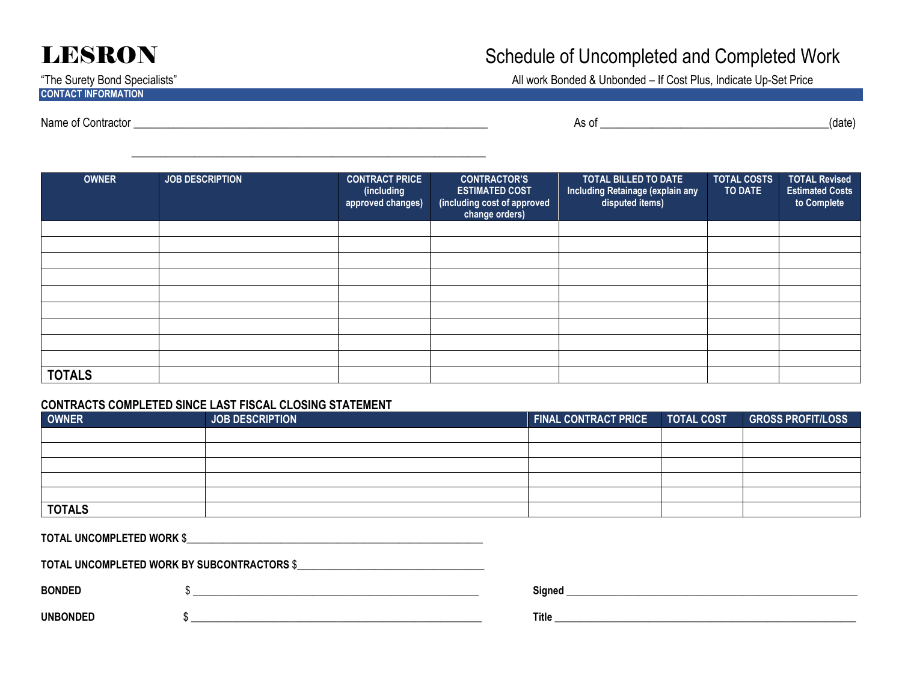### **CONTACT INFORMATION**

## **LESRON** Schedule of Uncompleted and Completed Work

"The Surety Bond Specialists" All work Bonded & Unbonded – If Cost Plus, Indicate Up-Set Price

**OWNER JOB DESCRIPTION CONTRACT PRICE (including approved changes) CONTRACTOR'S ESTIMATED COST (including cost of approved change orders) TOTAL BILLED TO DATE Including Retainage (explain any disputed items) TOTAL COSTS TO DATE TOTAL Revised Estimated Costs to Complete TOTALS** 

#### **CONTRACTS COMPLETED SINCE LAST FISCAL CLOSING STATEMENT**

| <b>OWNER</b>  | <b>JOB DESCRIPTION</b> | FINAL CONTRACT PRICE TOTAL COST | <b>GROSS PROFIT/LOSS</b> |
|---------------|------------------------|---------------------------------|--------------------------|
|               |                        |                                 |                          |
|               |                        |                                 |                          |
|               |                        |                                 |                          |
|               |                        |                                 |                          |
|               |                        |                                 |                          |
| <b>TOTALS</b> |                        |                                 |                          |

**TOTAL UNCOMPLETED WORK** \$\_\_\_\_\_\_\_\_\_\_\_\_\_\_\_\_\_\_\_\_\_\_\_\_\_\_\_\_\_\_\_\_\_\_\_\_\_\_\_\_\_\_\_\_\_\_\_\_\_\_\_\_\_\_\_\_\_

\_\_\_\_\_\_\_\_\_\_\_\_\_\_\_\_\_\_\_\_\_\_\_\_\_\_\_\_\_\_\_\_\_\_\_\_\_\_\_\_\_\_\_\_\_\_\_\_\_\_\_\_\_\_\_\_\_\_\_\_\_\_

**TOTAL UNCOMPLETED WORK BY SUBCONTRACTORS** \$\_\_\_\_\_\_\_\_\_\_\_\_\_\_\_\_\_\_\_\_\_\_\_\_\_\_\_\_\_\_\_\_\_\_\_\_

| igned |  |  |
|-------|--|--|
|       |  |  |

**UNBONDED** \$ \_\_\_\_\_\_\_\_\_\_\_\_\_\_\_\_\_\_\_\_\_\_\_\_\_\_\_\_\_\_\_\_\_\_\_\_\_\_\_\_\_\_\_\_\_\_\_\_\_\_\_\_\_\_\_\_ **Title** \_\_\_\_\_\_\_\_\_\_\_\_\_\_\_\_\_\_\_\_\_\_\_\_\_\_\_\_\_\_\_\_\_\_\_\_\_\_\_\_\_\_\_\_\_\_\_\_\_\_\_\_\_\_\_\_\_\_

Name of Contractor \_\_\_\_\_\_\_\_\_\_\_\_\_\_\_\_\_\_\_\_\_\_\_\_\_\_\_\_\_\_\_\_\_\_\_\_\_\_\_\_\_\_\_\_\_\_\_\_\_\_\_\_\_\_\_\_\_\_\_\_\_\_ As of \_\_\_\_\_\_\_\_\_\_\_\_\_\_\_\_\_\_\_\_\_\_\_\_\_\_\_\_\_\_\_\_\_\_\_\_\_\_\_\_(date)

**BONDED** \$ \_\_\_\_\_\_\_\_\_\_\_\_\_\_\_\_\_\_\_\_\_\_\_\_\_\_\_\_\_\_\_\_\_\_\_\_\_\_\_\_\_\_\_\_\_\_\_\_\_\_\_\_\_\_\_ **Signed** \_\_\_\_\_\_\_\_\_\_\_\_\_\_\_\_\_\_\_\_\_\_\_\_\_\_\_\_\_\_\_\_\_\_\_\_\_\_\_\_\_\_\_\_\_\_\_\_\_\_\_\_\_\_\_\_